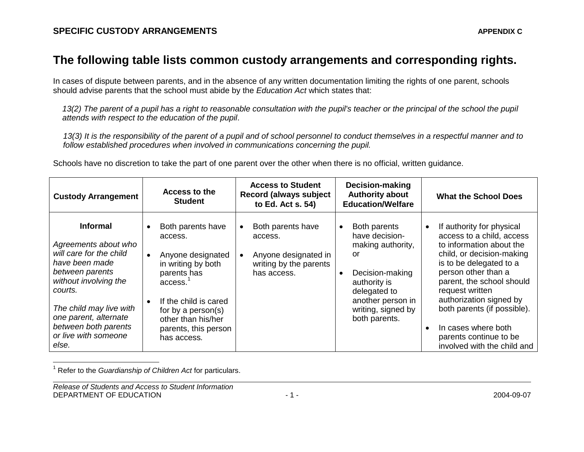## **The following table lists common custody arrangements and corresponding rights.**

In cases of dispute between parents, and in the absence of any written documentation limiting the rights of one parent, schools should advise parents that the school must abide by the *Education Act* which states that:

*13(2) The parent of a pupil has a right to reasonable consultation with the pupil's teacher or the principal of the school the pupil attends with respect to the education of the pupil*.

*13(3) It is the responsibility of the parent of a pupil and of school personnel to conduct themselves in a respectful manner and to follow established procedures when involved in communications concerning the pupil.*

Schools have no discretion to take the part of one parent over the other when there is no official, written guidance.

| <b>Custody Arrangement</b>                                                                                                                                                                                                                               | <b>Access to the</b><br><b>Student</b>                                                                                                                                                                                     | <b>Access to Student</b><br><b>Record (always subject</b><br>to Ed. Act s. 54)                             | Decision-making<br><b>Authority about</b><br><b>Education/Welfare</b>                                                                                                                 | <b>What the School Does</b>                                                                                                                                                                                                                                                                                                                                              |
|----------------------------------------------------------------------------------------------------------------------------------------------------------------------------------------------------------------------------------------------------------|----------------------------------------------------------------------------------------------------------------------------------------------------------------------------------------------------------------------------|------------------------------------------------------------------------------------------------------------|---------------------------------------------------------------------------------------------------------------------------------------------------------------------------------------|--------------------------------------------------------------------------------------------------------------------------------------------------------------------------------------------------------------------------------------------------------------------------------------------------------------------------------------------------------------------------|
| <b>Informal</b><br>Agreements about who<br>will care for the child<br>have been made<br>between parents<br>without involving the<br>courts.<br>The child may live with<br>one parent, alternate<br>between both parents<br>or live with someone<br>else. | Both parents have<br>access.<br>Anyone designated<br>$\bullet$<br>in writing by both<br>parents has<br>access.<br>If the child is cared<br>for by a person(s)<br>other than his/her<br>parents, this person<br>has access. | Both parents have<br>$\bullet$<br>access.<br>Anyone designated in<br>writing by the parents<br>has access. | Both parents<br>$\bullet$<br>have decision-<br>making authority,<br>or<br>Decision-making<br>authority is<br>delegated to<br>another person in<br>writing, signed by<br>both parents. | If authority for physical<br>access to a child, access<br>to information about the<br>child, or decision-making<br>is to be delegated to a<br>person other than a<br>parent, the school should<br>request written<br>authorization signed by<br>both parents (if possible).<br>In cases where both<br>$\bullet$<br>parents continue to be<br>involved with the child and |

<sup>1</sup> Refer to the *Guardianship of Children Act* for particulars.

 $\overline{\phantom{a}}$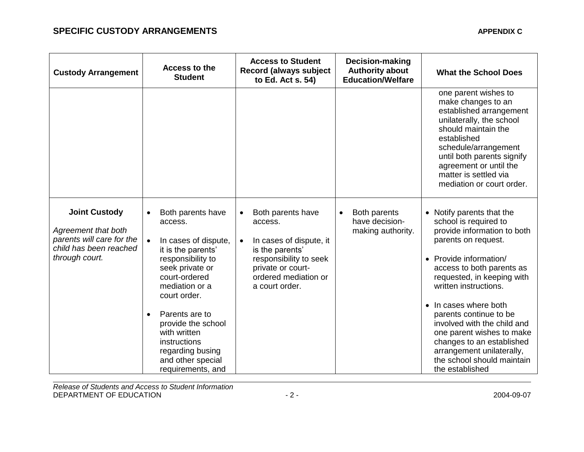| <b>Custody Arrangement</b>                                                                                           |           | Access to the<br><b>Student</b>                                                                                                                                                                                                                                                                             |                        | <b>Access to Student</b><br><b>Record (always subject</b><br>to Ed. Act s. 54)                                                                                      |           | Decision-making<br><b>Authority about</b><br><b>Education/Welfare</b> | <b>What the School Does</b>                                                                                                                                                                                                                                                                                                                                                                                                                      |
|----------------------------------------------------------------------------------------------------------------------|-----------|-------------------------------------------------------------------------------------------------------------------------------------------------------------------------------------------------------------------------------------------------------------------------------------------------------------|------------------------|---------------------------------------------------------------------------------------------------------------------------------------------------------------------|-----------|-----------------------------------------------------------------------|--------------------------------------------------------------------------------------------------------------------------------------------------------------------------------------------------------------------------------------------------------------------------------------------------------------------------------------------------------------------------------------------------------------------------------------------------|
|                                                                                                                      |           |                                                                                                                                                                                                                                                                                                             |                        |                                                                                                                                                                     |           |                                                                       | one parent wishes to<br>make changes to an<br>established arrangement<br>unilaterally, the school<br>should maintain the<br>established<br>schedule/arrangement<br>until both parents signify<br>agreement or until the<br>matter is settled via<br>mediation or court order.                                                                                                                                                                    |
| <b>Joint Custody</b><br>Agreement that both<br>parents will care for the<br>child has been reached<br>through court. | $\bullet$ | Both parents have<br>access.<br>In cases of dispute,<br>it is the parents'<br>responsibility to<br>seek private or<br>court-ordered<br>mediation or a<br>court order.<br>Parents are to<br>provide the school<br>with written<br>instructions<br>regarding busing<br>and other special<br>requirements, and | $\bullet$<br>$\bullet$ | Both parents have<br>access.<br>In cases of dispute, it<br>is the parents'<br>responsibility to seek<br>private or court-<br>ordered mediation or<br>a court order. | $\bullet$ | Both parents<br>have decision-<br>making authority.                   | • Notify parents that the<br>school is required to<br>provide information to both<br>parents on request.<br>• Provide information/<br>access to both parents as<br>requested, in keeping with<br>written instructions.<br>• In cases where both<br>parents continue to be<br>involved with the child and<br>one parent wishes to make<br>changes to an established<br>arrangement unilaterally,<br>the school should maintain<br>the established |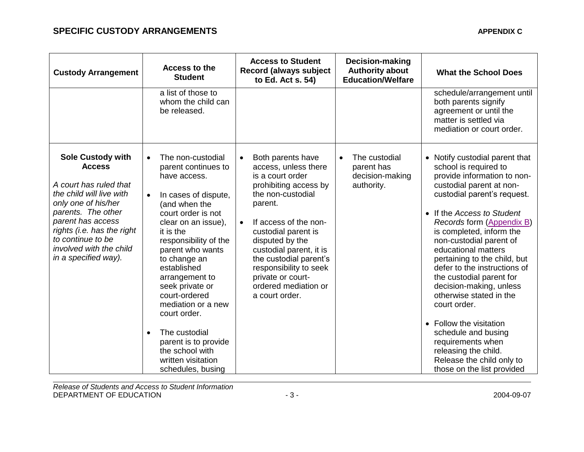## **SPECIFIC CUSTODY ARRANGEMENTS APPENDIX C**

| <b>Custody Arrangement</b>                                                                                                                                                                                                                                              | Access to the<br><b>Student</b>                                                                                                                                                                                                                                                                                                                                                                                                                                      | <b>Access to Student</b><br><b>Record (always subject</b><br>to Ed. Act s. 54)                                                                                                                                                                                                                                                                                    | Decision-making<br><b>Authority about</b><br><b>Education/Welfare</b>     | <b>What the School Does</b>                                                                                                                                                                                                                                                                                                                                                                                                                                                                                                                                                                                            |
|-------------------------------------------------------------------------------------------------------------------------------------------------------------------------------------------------------------------------------------------------------------------------|----------------------------------------------------------------------------------------------------------------------------------------------------------------------------------------------------------------------------------------------------------------------------------------------------------------------------------------------------------------------------------------------------------------------------------------------------------------------|-------------------------------------------------------------------------------------------------------------------------------------------------------------------------------------------------------------------------------------------------------------------------------------------------------------------------------------------------------------------|---------------------------------------------------------------------------|------------------------------------------------------------------------------------------------------------------------------------------------------------------------------------------------------------------------------------------------------------------------------------------------------------------------------------------------------------------------------------------------------------------------------------------------------------------------------------------------------------------------------------------------------------------------------------------------------------------------|
|                                                                                                                                                                                                                                                                         | a list of those to<br>whom the child can<br>be released.                                                                                                                                                                                                                                                                                                                                                                                                             |                                                                                                                                                                                                                                                                                                                                                                   |                                                                           | schedule/arrangement until<br>both parents signify<br>agreement or until the<br>matter is settled via<br>mediation or court order.                                                                                                                                                                                                                                                                                                                                                                                                                                                                                     |
| <b>Sole Custody with</b><br><b>Access</b><br>A court has ruled that<br>the child will live with<br>only one of his/her<br>parents. The other<br>parent has access<br>rights (i.e. has the right<br>to continue to be<br>involved with the child<br>in a specified way). | The non-custodial<br>$\bullet$<br>parent continues to<br>have access.<br>In cases of dispute,<br>$\bullet$<br>(and when the<br>court order is not<br>clear on an issue),<br>it is the<br>responsibility of the<br>parent who wants<br>to change an<br>established<br>arrangement to<br>seek private or<br>court-ordered<br>mediation or a new<br>court order.<br>The custodial<br>parent is to provide<br>the school with<br>written visitation<br>schedules, busing | Both parents have<br>$\bullet$<br>access, unless there<br>is a court order<br>prohibiting access by<br>the non-custodial<br>parent.<br>If access of the non-<br>$\bullet$<br>custodial parent is<br>disputed by the<br>custodial parent, it is<br>the custodial parent's<br>responsibility to seek<br>private or court-<br>ordered mediation or<br>a court order. | The custodial<br>$\bullet$<br>parent has<br>decision-making<br>authority. | • Notify custodial parent that<br>school is required to<br>provide information to non-<br>custodial parent at non-<br>custodial parent's request.<br>• If the Access to Student<br>Records form (Appendix B)<br>is completed, inform the<br>non-custodial parent of<br>educational matters<br>pertaining to the child, but<br>defer to the instructions of<br>the custodial parent for<br>decision-making, unless<br>otherwise stated in the<br>court order.<br>• Follow the visitation<br>schedule and busing<br>requirements when<br>releasing the child.<br>Release the child only to<br>those on the list provided |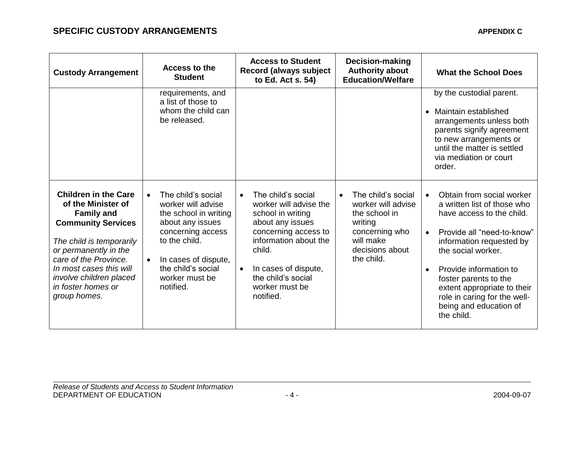| <b>Custody Arrangement</b>                                                                                                                                                                                                                                                    | Access to the<br><b>Student</b>                                                                                                                                                                                       | <b>Access to Student</b><br>Record (always subject<br>to Ed. Act s. 54)                                                                                                                                                                                 | <b>Decision-making</b><br><b>Authority about</b><br><b>Education/Welfare</b>                                                                      | <b>What the School Does</b>                                                                                                                                                                                                                                                                                                                                            |
|-------------------------------------------------------------------------------------------------------------------------------------------------------------------------------------------------------------------------------------------------------------------------------|-----------------------------------------------------------------------------------------------------------------------------------------------------------------------------------------------------------------------|---------------------------------------------------------------------------------------------------------------------------------------------------------------------------------------------------------------------------------------------------------|---------------------------------------------------------------------------------------------------------------------------------------------------|------------------------------------------------------------------------------------------------------------------------------------------------------------------------------------------------------------------------------------------------------------------------------------------------------------------------------------------------------------------------|
|                                                                                                                                                                                                                                                                               | requirements, and<br>a list of those to<br>whom the child can<br>be released.                                                                                                                                         |                                                                                                                                                                                                                                                         |                                                                                                                                                   | by the custodial parent.<br>Maintain established<br>$\bullet$<br>arrangements unless both<br>parents signify agreement<br>to new arrangements or<br>until the matter is settled<br>via mediation or court<br>order.                                                                                                                                                    |
| <b>Children in the Care</b><br>of the Minister of<br><b>Family and</b><br><b>Community Services</b><br>The child is temporarily<br>or permanently in the<br>care of the Province.<br>In most cases this will<br>involve children placed<br>in foster homes or<br>group homes. | The child's social<br>$\bullet$<br>worker will advise<br>the school in writing<br>about any issues<br>concerning access<br>to the child.<br>In cases of dispute,<br>the child's social<br>worker must be<br>notified. | The child's social<br>$\bullet$<br>worker will advise the<br>school in writing<br>about any issues<br>concerning access to<br>information about the<br>child.<br>In cases of dispute,<br>$\bullet$<br>the child's social<br>worker must be<br>notified. | The child's social<br>$\bullet$<br>worker will advise<br>the school in<br>writing<br>concerning who<br>will make<br>decisions about<br>the child. | Obtain from social worker<br>$\bullet$<br>a written list of those who<br>have access to the child.<br>Provide all "need-to-know"<br>$\bullet$<br>information requested by<br>the social worker.<br>Provide information to<br>$\bullet$<br>foster parents to the<br>extent appropriate to their<br>role in caring for the well-<br>being and education of<br>the child. |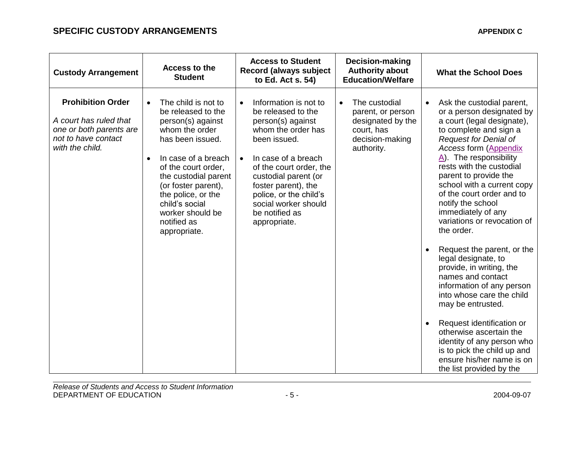| <b>Custody Arrangement</b>                                                                                              | Access to the<br><b>Student</b>                                                                                                                                                                                                                                                                                        | <b>Access to Student</b><br><b>Record (always subject</b><br>to Ed. Act s. 54)                                                                                                                                                                                                                                        | Decision-making<br><b>Authority about</b><br><b>Education/Welfare</b>                                               | <b>What the School Does</b>                                                                                                                                                                                                                                                                                                                                                                                                                                                                                                                                                                                                                                                                                                                                                                                                 |
|-------------------------------------------------------------------------------------------------------------------------|------------------------------------------------------------------------------------------------------------------------------------------------------------------------------------------------------------------------------------------------------------------------------------------------------------------------|-----------------------------------------------------------------------------------------------------------------------------------------------------------------------------------------------------------------------------------------------------------------------------------------------------------------------|---------------------------------------------------------------------------------------------------------------------|-----------------------------------------------------------------------------------------------------------------------------------------------------------------------------------------------------------------------------------------------------------------------------------------------------------------------------------------------------------------------------------------------------------------------------------------------------------------------------------------------------------------------------------------------------------------------------------------------------------------------------------------------------------------------------------------------------------------------------------------------------------------------------------------------------------------------------|
| <b>Prohibition Order</b><br>A court has ruled that<br>one or both parents are<br>not to have contact<br>with the child. | The child is not to<br>$\bullet$<br>be released to the<br>person(s) against<br>whom the order<br>has been issued.<br>In case of a breach<br>$\bullet$<br>of the court order,<br>the custodial parent<br>(or foster parent),<br>the police, or the<br>child's social<br>worker should be<br>notified as<br>appropriate. | Information is not to<br>$\bullet$<br>be released to the<br>person(s) against<br>whom the order has<br>been issued.<br>In case of a breach<br>$\bullet$<br>of the court order, the<br>custodial parent (or<br>foster parent), the<br>police, or the child's<br>social worker should<br>be notified as<br>appropriate. | The custodial<br>$\bullet$<br>parent, or person<br>designated by the<br>court, has<br>decision-making<br>authority. | Ask the custodial parent,<br>$\bullet$<br>or a person designated by<br>a court (legal designate),<br>to complete and sign a<br><b>Request for Denial of</b><br><b>Access form (Appendix</b><br>$\overline{A}$ ). The responsibility<br>rests with the custodial<br>parent to provide the<br>school with a current copy<br>of the court order and to<br>notify the school<br>immediately of any<br>variations or revocation of<br>the order.<br>Request the parent, or the<br>legal designate, to<br>provide, in writing, the<br>names and contact<br>information of any person<br>into whose care the child<br>may be entrusted.<br>Request identification or<br>$\bullet$<br>otherwise ascertain the<br>identity of any person who<br>is to pick the child up and<br>ensure his/her name is on<br>the list provided by the |